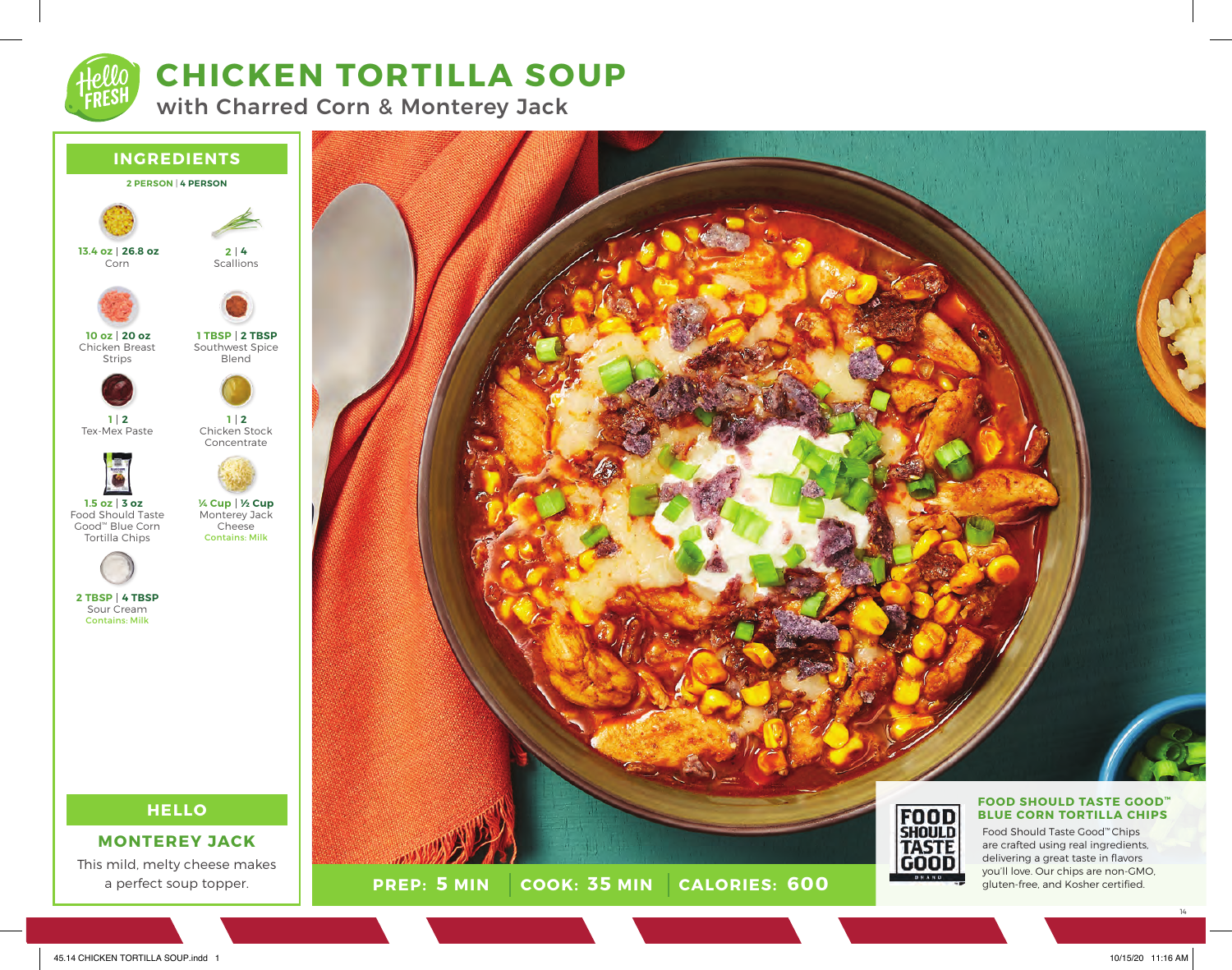

## **CHICKEN TORTILLA SOUP**

with Charred Corn & Monterey Jack

### **INGREDIENTS 2 PERSON** | **4 PERSON HELLO MONTEREY JACK** Corn Chicken Breast Strips Tex-Mex Paste Food Should Taste Good™ Blue Corn Tortilla Chips Sour Cream Contains: Milk **Scallions** Southwest Spice Blend Chicken Stock Concentrate Monterey Jack Cheese Contains: Milk **4 2 2 TBSP 1 TBSP 2 1 ½ Cup ¼ Cup 26.8 oz 13.4 oz 20 oz 10 oz 2 1 3 oz 1.5 oz 4 TBSP 2 TBSP**

This mild, melty cheese makes a perfect soup topper.



**PREP: 5 MIN | COOK: 35 MIN 5 MIN 35 MIN 600**



delivering a great taste in flavors you'll love. Our chips are non-GMO, gluten-free, and Kosher certified.

14